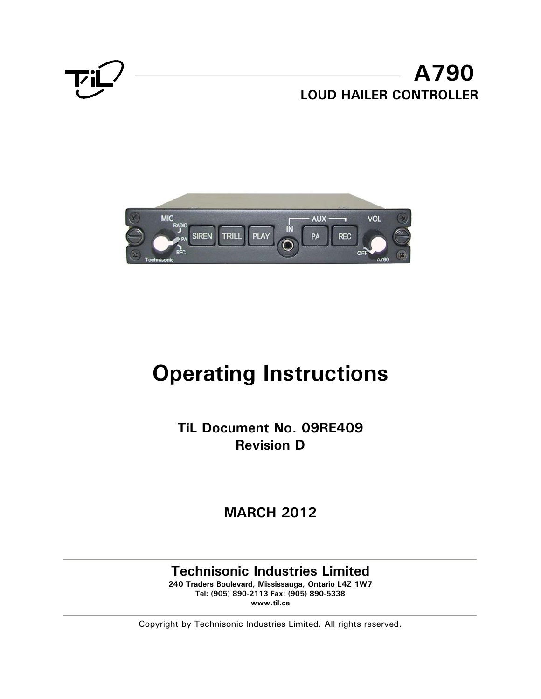

## **A790 LOUD HAILER CONTROLLER**



# **Operating Instructions**

**TiL Document No. 09RE409 Revision D** 

**MARCH 2012** 

## **Technisonic Industries Limited**

**240 Traders Boulevard, Mississauga, Ontario L4Z 1W7 Tel: (905) 890-2113 Fax: (905) 890-5338 www.til.ca**

Copyright by Technisonic Industries Limited. All rights reserved.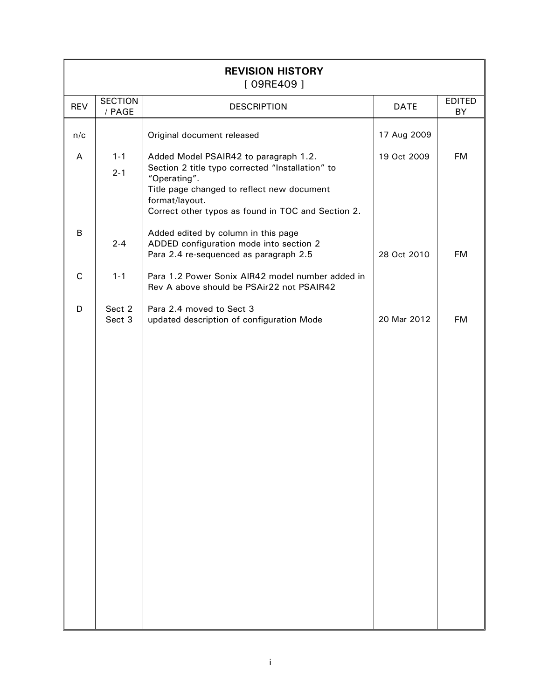| <b>REVISION HISTORY</b><br>[09RE409] |                          |                                                                                                                                                                                                                                 |             |                     |
|--------------------------------------|--------------------------|---------------------------------------------------------------------------------------------------------------------------------------------------------------------------------------------------------------------------------|-------------|---------------------|
| <b>REV</b>                           | <b>SECTION</b><br>/ PAGE | <b>DESCRIPTION</b>                                                                                                                                                                                                              | <b>DATE</b> | <b>EDITED</b><br>BY |
| n/c                                  |                          | Original document released                                                                                                                                                                                                      | 17 Aug 2009 |                     |
| A                                    | $1 - 1$<br>$2 - 1$       | Added Model PSAIR42 to paragraph 1.2.<br>Section 2 title typo corrected "Installation" to<br>"Operating".<br>Title page changed to reflect new document<br>format/layout.<br>Correct other typos as found in TOC and Section 2. | 19 Oct 2009 | <b>FM</b>           |
| B                                    | $2 - 4$                  | Added edited by column in this page<br>ADDED configuration mode into section 2<br>Para 2.4 re-sequenced as paragraph 2.5                                                                                                        | 28 Oct 2010 | <b>FM</b>           |
| $\mathsf{C}$                         | $1 - 1$                  | Para 1.2 Power Sonix AIR42 model number added in<br>Rev A above should be PSAir22 not PSAIR42                                                                                                                                   |             |                     |
| D                                    | Sect 2<br>Sect 3         | Para 2.4 moved to Sect 3<br>updated description of configuration Mode                                                                                                                                                           | 20 Mar 2012 | <b>FM</b>           |
|                                      |                          |                                                                                                                                                                                                                                 |             |                     |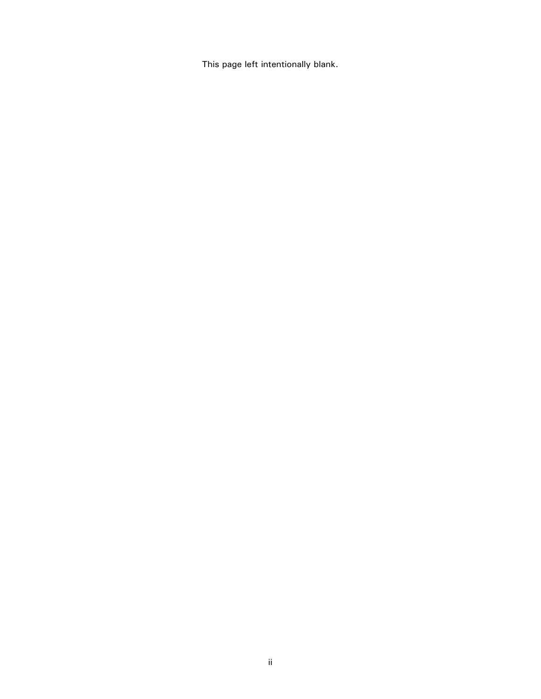This page left intentionally blank.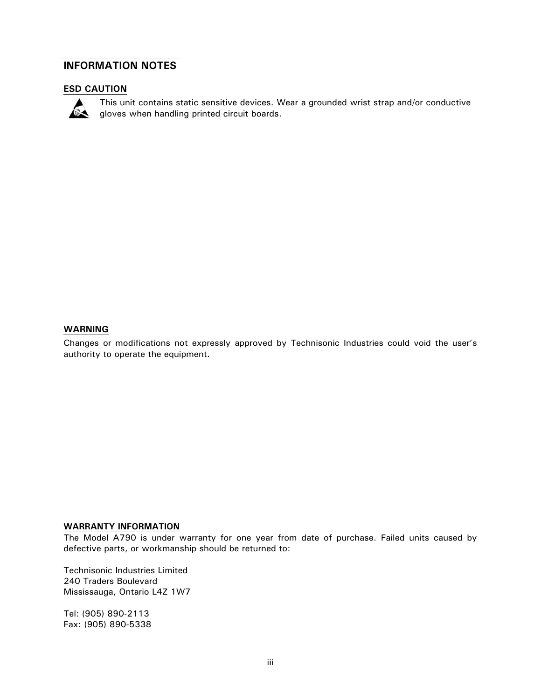#### **INFORMATION NOTES**

#### **ESD CAUTION**



This unit contains static sensitive devices. Wear a grounded wrist strap and/or conductive gloves when handling printed circuit boards.

#### **WARNING**

Changes or modifications not expressly approved by Technisonic Industries could void the user's authority to operate the equipment.

#### **WARRANTY INFORMATION**

The Model A790 is under warranty for one year from date of purchase. Failed units caused by defective parts, or workmanship should be returned to:

Technisonic Industries Limited 240 Traders Boulevard Mississauga, Ontario L4Z 1W7

Tel: (905) 890-2113 Fax: (905) 890-5338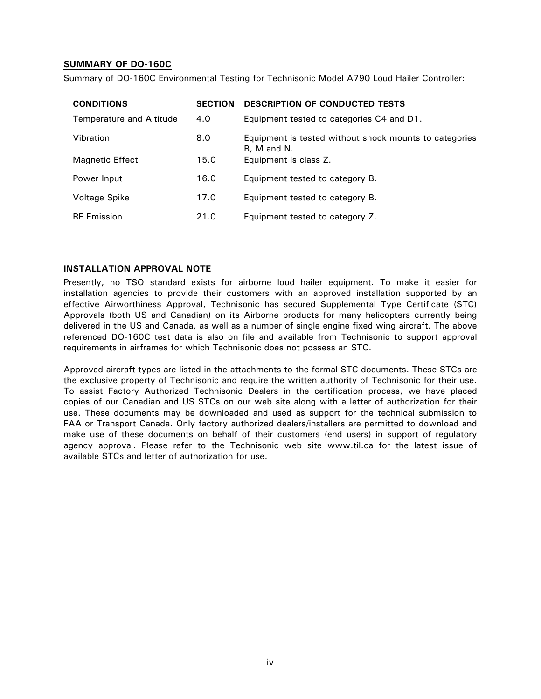#### **SUMMARY OF DO-160C**

Summary of DO-160C Environmental Testing for Technisonic Model A790 Loud Hailer Controller:

| <b>CONDITIONS</b>               | <b>SECTION</b> | <b>DESCRIPTION OF CONDUCTED TESTS</b>                                 |
|---------------------------------|----------------|-----------------------------------------------------------------------|
| <b>Temperature and Altitude</b> | 4.0            | Equipment tested to categories C4 and D1.                             |
| Vibration                       | 8.0            | Equipment is tested without shock mounts to categories<br>B, M and N. |
| <b>Magnetic Effect</b>          | 15.0           | Equipment is class Z.                                                 |
| Power Input                     | 16.0           | Equipment tested to category B.                                       |
| Voltage Spike                   | 17.0           | Equipment tested to category B.                                       |
| <b>RF</b> Emission              | 21.0           | Equipment tested to category Z.                                       |

#### **INSTALLATION APPROVAL NOTE**

Presently, no TSO standard exists for airborne loud hailer equipment. To make it easier for installation agencies to provide their customers with an approved installation supported by an effective Airworthiness Approval, Technisonic has secured Supplemental Type Certificate (STC) Approvals (both US and Canadian) on its Airborne products for many helicopters currently being delivered in the US and Canada, as well as a number of single engine fixed wing aircraft. The above referenced DO-160C test data is also on file and available from Technisonic to support approval requirements in airframes for which Technisonic does not possess an STC.

Approved aircraft types are listed in the attachments to the formal STC documents. These STCs are the exclusive property of Technisonic and require the written authority of Technisonic for their use. To assist Factory Authorized Technisonic Dealers in the certification process, we have placed copies of our Canadian and US STCs on our web site along with a letter of authorization for their use. These documents may be downloaded and used as support for the technical submission to FAA or Transport Canada. Only factory authorized dealers/installers are permitted to download and make use of these documents on behalf of their customers (end users) in support of regulatory agency approval. Please refer to the Technisonic web site www.til.ca for the latest issue of available STCs and letter of authorization for use.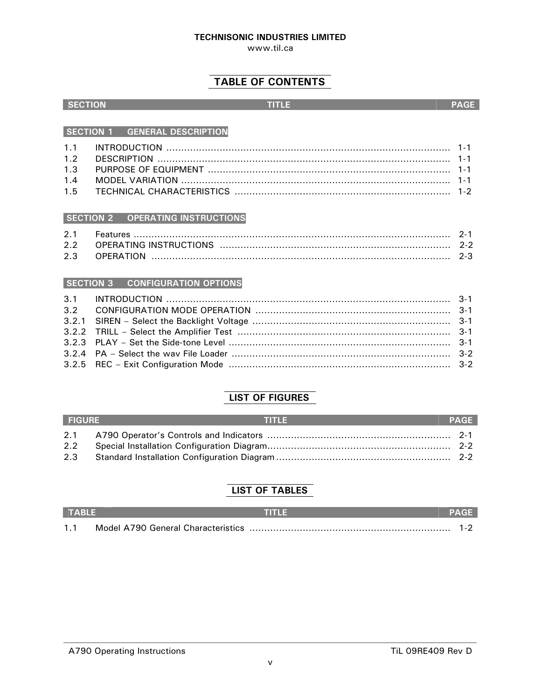www.til.ca

## **TABLE OF CONTENTS**

#### **SECTION DESCRIPTION RESERVE AND SECTION RESERVE AND SECTION RESERVE AND SECTION RESERVE AND PAGE**

#### **SECTION 1 GENERAL DESCRIPTION**

| 12  |  |
|-----|--|
| 1.3 |  |
|     |  |
|     |  |

#### **SECTION 2 OPERATING INSTRUCTIONS**

#### **SECTION 3 CONFIGURATION OPTIONS**

## **LIST OF FIGURES**

| <b>FIGURE</b> | <b>PAGE</b> |
|---------------|-------------|
|               |             |
| $2.2^{\circ}$ |             |
| 2.3           |             |

### **LIST OF TABLES**

| <b>TABLE</b>   |                                    |                          |
|----------------|------------------------------------|--------------------------|
| 1 <sup>1</sup> | Model A790 General Characteristics | $\overline{\phantom{a}}$ |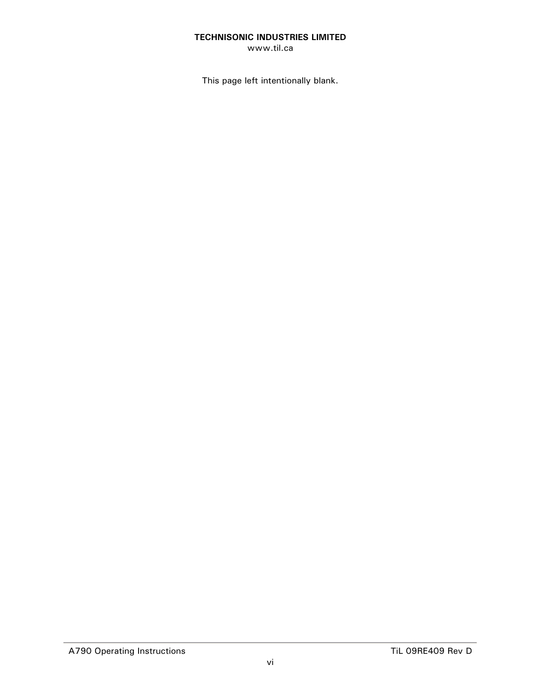www.til.ca

This page left intentionally blank.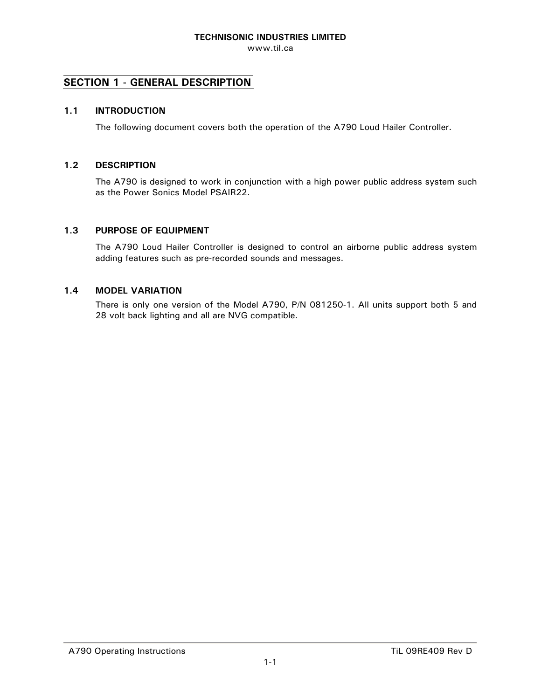www.til.ca

### **SECTION 1 - GENERAL DESCRIPTION**

#### **1.1 INTRODUCTION**

The following document covers both the operation of the A790 Loud Hailer Controller.

#### **1.2 DESCRIPTION**

The A790 is designed to work in conjunction with a high power public address system such as the Power Sonics Model PSAIR22.

#### **1.3 PURPOSE OF EQUIPMENT**

The A790 Loud Hailer Controller is designed to control an airborne public address system adding features such as pre-recorded sounds and messages.

#### **1.4 MODEL VARIATION**

There is only one version of the Model A790, P/N 081250-1. All units support both 5 and 28 volt back lighting and all are NVG compatible.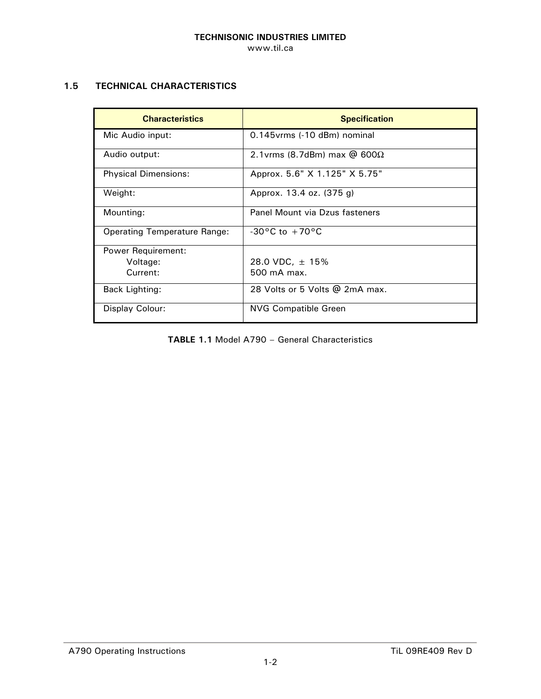## **1.5 TECHNICAL CHARACTERISTICS**

| <b>Characteristics</b>              | <b>Specification</b>                    |
|-------------------------------------|-----------------------------------------|
| Mic Audio input:                    | 0.145 vrms (-10 dBm) nominal            |
| Audio output:                       | 2.1 vrms (8.7 dBm) max $@$ 600 $\Omega$ |
| <b>Physical Dimensions:</b>         | Approx. 5.6" X 1.125" X 5.75"           |
| Weight:                             | Approx. 13.4 oz. (375 g)                |
| Mounting:                           | Panel Mount via Dzus fasteners          |
| <b>Operating Temperature Range:</b> | -30°C to $+70$ °C                       |
| <b>Power Requirement:</b>           |                                         |
| Voltage:                            | 28.0 VDC, $\pm$ 15%                     |
| Current:                            | 500 mA max.                             |
| <b>Back Lighting:</b>               | 28 Volts or 5 Volts @ 2mA max.          |
| Display Colour:                     | <b>NVG Compatible Green</b>             |

**TABLE 1.1** Model A790 – General Characteristics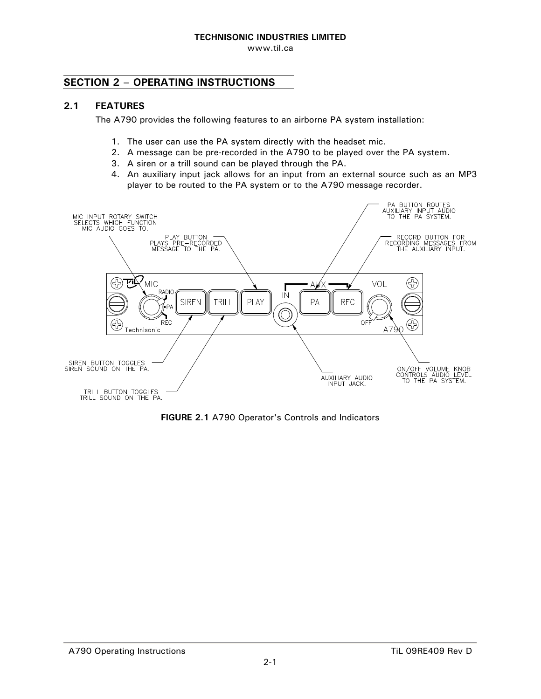www.til.ca

### **SECTION 2 – OPERATING INSTRUCTIONS**

#### **2.1 FEATURES**

The A790 provides the following features to an airborne PA system installation:

- 1. The user can use the PA system directly with the headset mic.
- 2. A message can be pre-recorded in the A790 to be played over the PA system.
- 3. A siren or a trill sound can be played through the PA.
- 4. An auxiliary input jack allows for an input from an external source such as an MP3 player to be routed to the PA system or to the A790 message recorder.



**FIGURE 2.1** A790 Operator's Controls and Indicators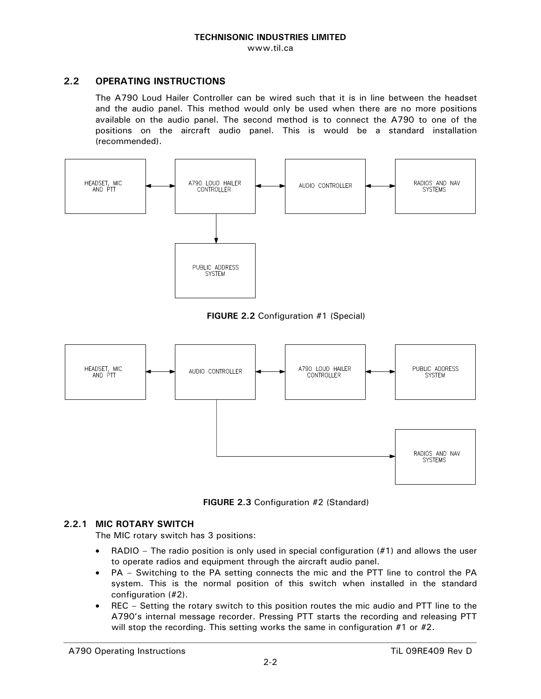www.til.ca

#### **2.2 OPERATING INSTRUCTIONS**

The A790 Loud Hailer Controller can be wired such that it is in line between the headset and the audio panel. This method would only be used when there are no more positions available on the audio panel. The second method is to connect the A790 to one of the positions on the aircraft audio panel. This is would be a standard installation (recommended).



**FIGURE 2.2** Configuration #1 (Special)



**FIGURE 2.3** Configuration #2 (Standard)

#### **2.2.1 MIC ROTARY SWITCH**

The MIC rotary switch has 3 positions:

- RADIO The radio position is only used in special configuration (#1) and allows the user to operate radios and equipment through the aircraft audio panel.
- PA Switching to the PA setting connects the mic and the PTT line to control the PA system. This is the normal position of this switch when installed in the standard configuration (#2).
- REC Setting the rotary switch to this position routes the mic audio and PTT line to the A790's internal message recorder. Pressing PTT starts the recording and releasing PTT will stop the recording. This setting works the same in configuration #1 or #2.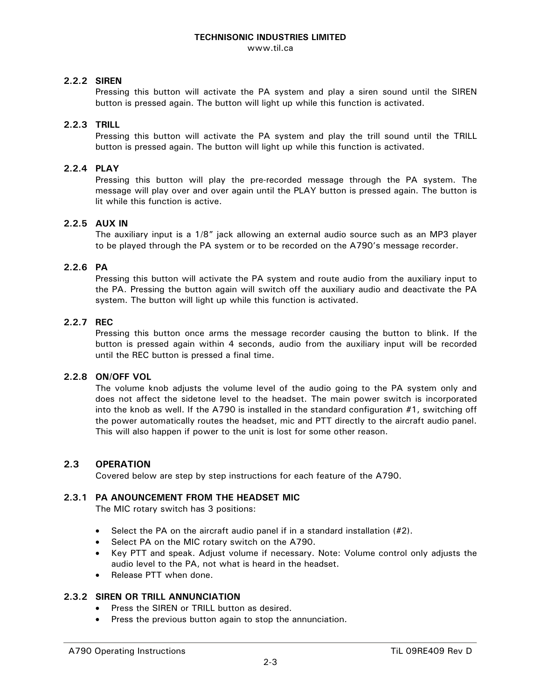www.til.ca

#### **2.2.2 SIREN**

Pressing this button will activate the PA system and play a siren sound until the SIREN button is pressed again. The button will light up while this function is activated.

#### **2.2.3 TRILL**

Pressing this button will activate the PA system and play the trill sound until the TRILL button is pressed again. The button will light up while this function is activated.

#### **2.2.4 PLAY**

Pressing this button will play the pre-recorded message through the PA system. The message will play over and over again until the PLAY button is pressed again. The button is lit while this function is active.

#### **2.2.5 AUX IN**

The auxiliary input is a 1/8" jack allowing an external audio source such as an MP3 player to be played through the PA system or to be recorded on the A790's message recorder.

#### **2.2.6 PA**

Pressing this button will activate the PA system and route audio from the auxiliary input to the PA. Pressing the button again will switch off the auxiliary audio and deactivate the PA system. The button will light up while this function is activated.

#### **2.2.7 REC**

Pressing this button once arms the message recorder causing the button to blink. If the button is pressed again within 4 seconds, audio from the auxiliary input will be recorded until the REC button is pressed a final time.

#### **2.2.8 ON/OFF VOL**

The volume knob adjusts the volume level of the audio going to the PA system only and does not affect the sidetone level to the headset. The main power switch is incorporated into the knob as well. If the A790 is installed in the standard configuration #1, switching off the power automatically routes the headset, mic and PTT directly to the aircraft audio panel. This will also happen if power to the unit is lost for some other reason.

#### **2.3 OPERATION**

Covered below are step by step instructions for each feature of the A790.

#### **2.3.1 PA ANOUNCEMENT FROM THE HEADSET MIC**

The MIC rotary switch has 3 positions:

- Select the PA on the aircraft audio panel if in a standard installation  $(H2)$ .
- Select PA on the MIC rotary switch on the A790.
- Key PTT and speak. Adjust volume if necessary. Note: Volume control only adjusts the audio level to the PA, not what is heard in the headset.
- Release PTT when done.

#### **2.3.2 SIREN OR TRILL ANNUNCIATION**

- Press the SIREN or TRILL button as desired.
- Press the previous button again to stop the annunciation.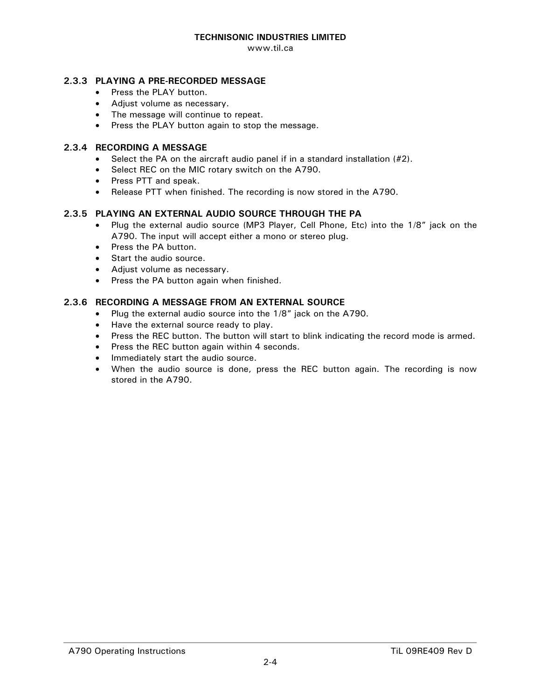www.til.ca

#### **2.3.3 PLAYING A PRE-RECORDED MESSAGE**

- Press the PLAY button.
- Adjust volume as necessary.
- The message will continue to repeat.
- Press the PLAY button again to stop the message.

#### **2.3.4 RECORDING A MESSAGE**

- Select the PA on the aircraft audio panel if in a standard installation  $(H2)$ .
- Select REC on the MIC rotary switch on the A790.
- Press PTT and speak.
- Release PTT when finished. The recording is now stored in the A790.

#### **2.3.5 PLAYING AN EXTERNAL AUDIO SOURCE THROUGH THE PA**

- Plug the external audio source (MP3 Player, Cell Phone, Etc) into the 1/8" jack on the A790. The input will accept either a mono or stereo plug.
- Press the PA button.
- Start the audio source.
- Adjust volume as necessary.
- Press the PA button again when finished.

### **2.3.6 RECORDING A MESSAGE FROM AN EXTERNAL SOURCE**

- Plug the external audio source into the 1/8" jack on the A790.
- Have the external source ready to play.
- Press the REC button. The button will start to blink indicating the record mode is armed.
- Press the REC button again within 4 seconds.
- Immediately start the audio source.
- When the audio source is done, press the REC button again. The recording is now stored in the A790.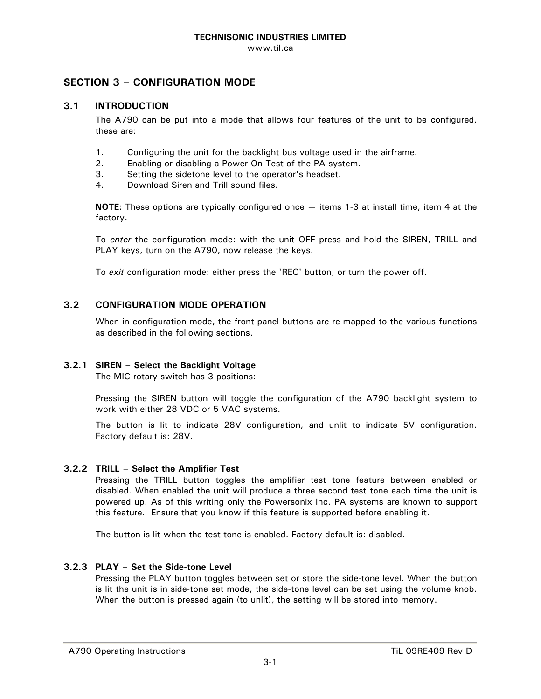www.til.ca

### **SECTION 3 – CONFIGURATION MODE**

#### **3.1 INTRODUCTION**

The A790 can be put into a mode that allows four features of the unit to be configured, these are:

- 1. Configuring the unit for the backlight bus voltage used in the airframe.
- 2. Enabling or disabling a Power On Test of the PA system.
- 3. Setting the sidetone level to the operator's headset.
- 4. Download Siren and Trill sound files.

**NOTE:** These options are typically configured once — items 1-3 at install time, item 4 at the factory.

To *enter* the configuration mode: with the unit OFF press and hold the SIREN, TRILL and PLAY keys, turn on the A790, now release the keys.

To *exit* configuration mode: either press the 'REC' button, or turn the power off.

#### **3.2 CONFIGURATION MODE OPERATION**

When in configuration mode, the front panel buttons are re-mapped to the various functions as described in the following sections.

#### **3.2.1 SIREN – Select the Backlight Voltage**

The MIC rotary switch has 3 positions:

Pressing the SIREN button will toggle the configuration of the A790 backlight system to work with either 28 VDC or 5 VAC systems.

The button is lit to indicate 28V configuration, and unlit to indicate 5V configuration. Factory default is: 28V.

#### **3.2.2 TRILL – Select the Amplifier Test**

Pressing the TRILL button toggles the amplifier test tone feature between enabled or disabled. When enabled the unit will produce a three second test tone each time the unit is powered up. As of this writing only the Powersonix Inc. PA systems are known to support this feature. Ensure that you know if this feature is supported before enabling it.

The button is lit when the test tone is enabled. Factory default is: disabled.

#### **3.2.3 PLAY – Set the Side-tone Level**

Pressing the PLAY button toggles between set or store the side-tone level. When the button is lit the unit is in side-tone set mode, the side-tone level can be set using the volume knob. When the button is pressed again (to unlit), the setting will be stored into memory.